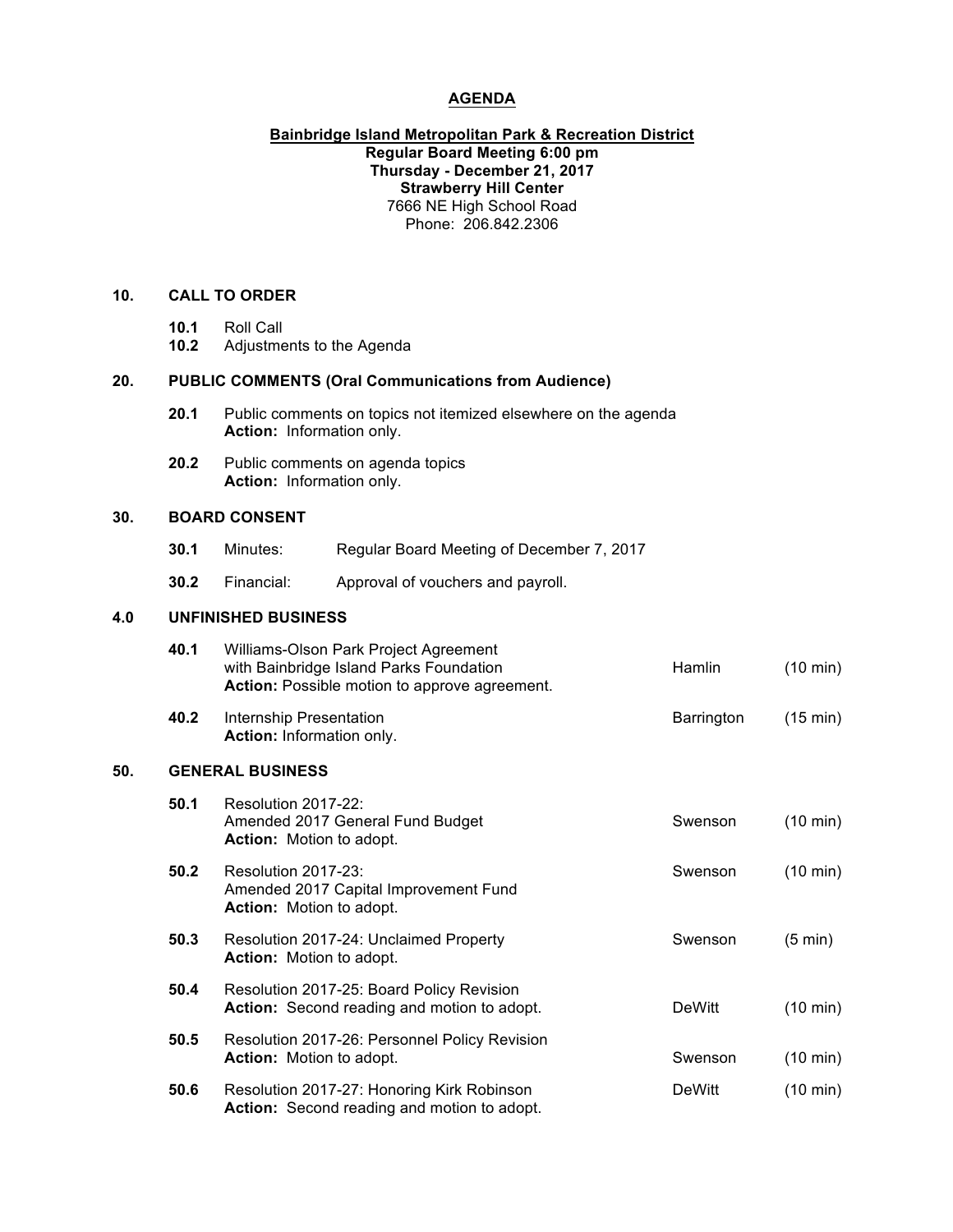# **AGENDA**

## **Bainbridge Island Metropolitan Park & Recreation District Regular Board Meeting 6:00 pm Thursday - December 21, 2017 Strawberry Hill Center** 7666 NE High School Road Phone: 206.842.2306

## **10. CALL TO ORDER**

- **10.1** Roll Call
- **10.2** Adjustments to the Agenda

#### **20. PUBLIC COMMENTS (Oral Communications from Audience)**

- **20.1** Public comments on topics not itemized elsewhere on the agenda **Action:** Information only.
- **20.2** Public comments on agenda topics **Action:** Information only.

### **30. BOARD CONSENT**

- **30.1** Minutes: Regular Board Meeting of December 7, 2017
- **30.2** Financial: Approval of vouchers and payroll.

## **4.0 UNFINISHED BUSINESS**

|     | 40.1                    | Williams-Olson Park Project Agreement<br>with Bainbridge Island Parks Foundation<br>Action: Possible motion to approve agreement. | Hamlin        | $(10 \text{ min})$ |  |  |
|-----|-------------------------|-----------------------------------------------------------------------------------------------------------------------------------|---------------|--------------------|--|--|
|     | 40.2                    | Internship Presentation<br>Action: Information only.                                                                              | Barrington    | (15 min)           |  |  |
| 50. | <b>GENERAL BUSINESS</b> |                                                                                                                                   |               |                    |  |  |
|     | 50.1                    | Resolution 2017-22:<br>Amended 2017 General Fund Budget<br><b>Action:</b> Motion to adopt.                                        | Swenson       | $(10 \text{ min})$ |  |  |
|     | 50.2                    | Resolution 2017-23:<br>Amended 2017 Capital Improvement Fund<br><b>Action:</b> Motion to adopt.                                   | Swenson       | $(10 \text{ min})$ |  |  |
|     | 50.3                    | Resolution 2017-24: Unclaimed Property<br><b>Action:</b> Motion to adopt.                                                         | Swenson       | $(5 \text{ min})$  |  |  |
|     | 50.4                    | Resolution 2017-25: Board Policy Revision<br>Action: Second reading and motion to adopt.                                          | DeWitt        | $(10 \text{ min})$ |  |  |
|     | 50.5                    | Resolution 2017-26: Personnel Policy Revision<br><b>Action:</b> Motion to adopt.                                                  | Swenson       | $(10 \text{ min})$ |  |  |
|     | 50.6                    | Resolution 2017-27: Honoring Kirk Robinson<br>Action: Second reading and motion to adopt.                                         | <b>DeWitt</b> | $(10 \text{ min})$ |  |  |